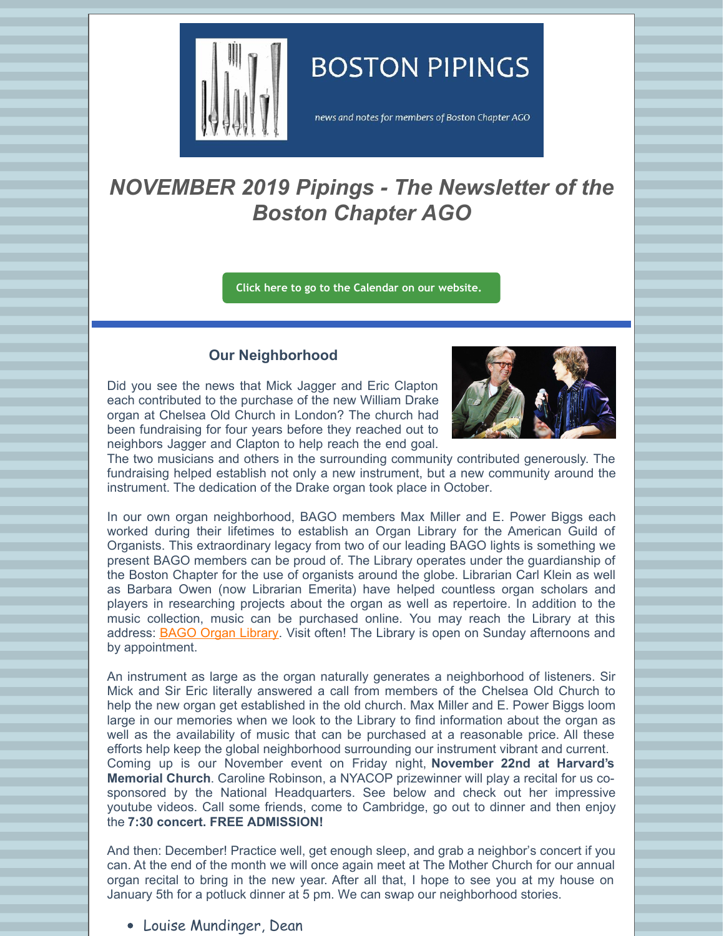

## **BOSTON PIPINGS**

news and notes for members of Boston Chapter AGO

## *NOVEMBER 2019 Pipings - The Newsletter of the Boston Chapter AGO*

**Click here to go to the [Calendar](http://www.bostonago.org/calendar-2/) on our website.**

## **Our Neighborhood**

Did you see the news that Mick Jagger and Eric Clapton each contributed to the purchase of the new William Drake organ at Chelsea Old Church in London? The church had been fundraising for four years before they reached out to neighbors Jagger and Clapton to help reach the end goal.



The two musicians and others in the surrounding community contributed generously. The fundraising helped establish not only a new instrument, but a new community around the instrument. The dedication of the Drake organ took place in October.

In our own organ neighborhood, BAGO members Max Miller and E. Power Biggs each worked during their lifetimes to establish an Organ Library for the American Guild of Organists. This extraordinary legacy from two of our leading BAGO lights is something we present BAGO members can be proud of. The Library operates under the guardianship of the Boston Chapter for the use of organists around the globe. Librarian Carl Klein as well as Barbara Owen (now Librarian Emerita) have helped countless organ scholars and players in researching projects about the organ as well as repertoire. In addition to the music collection, music can be purchased online. You may reach the Library at this address: BAGO Organ [Library](http://www.organlibrary.org/about/). Visit often! The Library is open on Sunday afternoons and by appointment.

An instrument as large as the organ naturally generates a neighborhood of listeners. Sir Mick and Sir Eric literally answered a call from members of the Chelsea Old Church to help the new organ get established in the old church. Max Miller and E. Power Biggs loom large in our memories when we look to the Library to find information about the organ as well as the availability of music that can be purchased at a reasonable price. All these efforts help keep the global neighborhood surrounding our instrument vibrant and current. Coming up is our November event on Friday night, **November 22nd at Harvard's Memorial Church**. Caroline Robinson, a NYACOP prizewinner will play a recital for us cosponsored by the National Headquarters. See below and check out her impressive youtube videos. Call some friends, come to Cambridge, go out to dinner and then enjoy the **7:30 concert. FREE ADMISSION!**

And then: December! Practice well, get enough sleep, and grab a neighbor's concert if you can. At the end of the month we will once again meet at The Mother Church for our annual organ recital to bring in the new year. After all that, I hope to see you at my house on January 5th for a potluck dinner at 5 pm. We can swap our neighborhood stories.

Louise Mundinger, Dean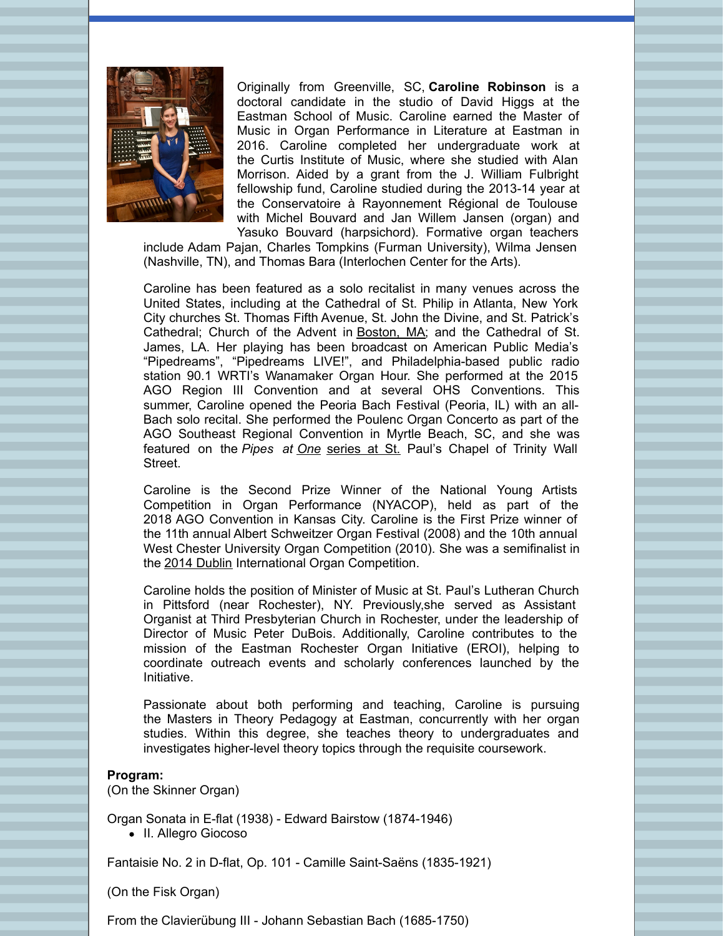

Originally from Greenville, SC, **Caroline Robinson** is a doctoral candidate in the studio of David Higgs at the Eastman School of Music. Caroline earned the Master of Music in Organ Performance in Literature at Eastman in 2016. Caroline completed her undergraduate work at the Curtis Institute of Music, where she studied with Alan Morrison. Aided by a grant from the J. William Fulbright fellowship fund, Caroline studied during the 2013-14 year at the Conservatoire à Rayonnement Régional de Toulouse with Michel Bouvard and Jan Willem Jansen (organ) and Yasuko Bouvard (harpsichord). Formative organ teachers

include Adam Pajan, Charles Tompkins (Furman University), Wilma Jensen (Nashville, TN), and Thomas Bara (Interlochen Center for the Arts).

Caroline has been featured as a solo recitalist in many venues across the United States, including at the Cathedral of St. Philip in Atlanta, New York City churches St. Thomas Fifth Avenue, St. John the Divine, and St. Patrick's Cathedral; Church of the Advent in Boston, MA; and the Cathedral of St. James, LA. Her playing has been broadcast on American Public Media's "Pipedreams", "Pipedreams LIVE!", and Philadelphia-based public radio station 90.1 WRTI's Wanamaker Organ Hour. She performed at the 2015 AGO Region III Convention and at several OHS Conventions. This summer, Caroline opened the Peoria Bach Festival (Peoria, IL) with an all-Bach solo recital. She performed the Poulenc Organ Concerto as part of the AGO Southeast Regional Convention in Myrtle Beach, SC, and she was featured on the *Pipes at One* series at St. Paul's Chapel of Trinity Wall Street.

Caroline is the Second Prize Winner of the National Young Artists Competition in Organ Performance (NYACOP), held as part of the 2018 AGO Convention in Kansas City. Caroline is the First Prize winner of the 11th annual Albert Schweitzer Organ Festival (2008) and the 10th annual West Chester University Organ Competition (2010). She was a semifinalist in the 2014 Dublin International Organ Competition.

Caroline holds the position of Minister of Music at St. Paul's Lutheran Church in Pittsford (near Rochester), NY. Previously,she served as Assistant Organist at Third Presbyterian Church in Rochester, under the leadership of Director of Music Peter DuBois. Additionally, Caroline contributes to the mission of the Eastman Rochester Organ Initiative (EROI), helping to coordinate outreach events and scholarly conferences launched by the Initiative.

Passionate about both performing and teaching, Caroline is pursuing the Masters in Theory Pedagogy at Eastman, concurrently with her organ studies. Within this degree, she teaches theory to undergraduates and investigates higher-level theory topics through the requisite coursework.

## **Program:**

(On the Skinner Organ)

Organ Sonata in E-flat (1938) - Edward Bairstow (1874-1946) • II. Allegro Giocoso

Fantaisie No. 2 in D-flat, Op. 101 - Camille Saint-Saëns (1835-1921)

(On the Fisk Organ)

From the Clavierübung III - Johann Sebastian Bach (1685-1750)